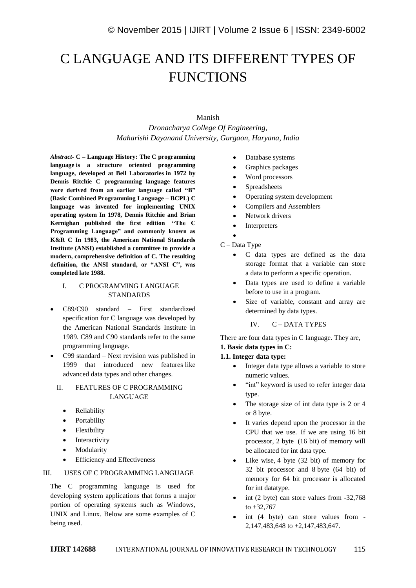# C LANGUAGE AND ITS DIFFERENT TYPES OF **FUNCTIONS**

### Manish

*Dronacharya College Of Engineering, Maharishi Dayanand University, Gurgaon, Haryana, India*

*Abstract-* **C – Language History: The C programming language is a structure oriented programming language, developed at Bell Laboratories in 1972 by Dennis Ritchie C programming language features were derived from an earlier language called "B" (Basic Combined Programming Language – BCPL) C language was invented for implementing UNIX operating system In 1978, Dennis Ritchie and Brian Kernighan published the first edition "The C Programming Language" and commonly known as K&R C In 1983, the American National Standards Institute (ANSI) established a committee to provide a modern, comprehensive definition of C. The resulting definition, the ANSI standard, or "ANSI C", was completed late 1988.**

### I. C PROGRAMMING LANGUAGE **STANDARDS**

- C89/C90 standard First standardized specification for C language was developed by the American National Standards Institute in 1989. C89 and C90 standards refer to the same programming language.
- C99 standard Next revision was published in 1999 that introduced new features like advanced data types and other changes.

### II. FEATURES OF C PROGRAMMING LANGUAGE

- Reliability
- Portability
- Flexibility
- Interactivity
- Modularity
- Efficiency and Effectiveness

#### III. USES OF C PROGRAMMING LANGUAGE

The C programming language is used for developing system applications that forms a major portion of operating systems such as Windows, UNIX and Linux. Below are some examples of C being used.

- Database systems
- Graphics packages
- Word processors
- Spreadsheets
- Operating system development
- Compilers and Assemblers
- Network drivers
- Interpreters
- $\bullet$

#### C – Data Type

- C data types are defined as the data storage format that a variable can store a data to perform a specific operation.
- Data types are used to define a variable before to use in a program.
- Size of variable, constant and array are determined by data types.
	- IV. C DATA TYPES

There are four data types in C language. They are,

#### **1. Basic data types in C:**

#### **1.1. Integer data type:**

- Integer data type allows a variable to store numeric values.
- "int" keyword is used to refer integer data type.
- The storage size of int data type is 2 or 4 or 8 byte.
- It varies depend upon the processor in the CPU that we use. If we are using 16 bit processor, 2 byte (16 bit) of memory will be allocated for int data type.
- Like wise, 4 byte (32 bit) of memory for 32 bit processor and 8 byte (64 bit) of memory for 64 bit processor is allocated for int datatype.
- int (2 byte) can store values from -32,768 to +32,767
- int (4 byte) can store values from 2,147,483,648 to +2,147,483,647.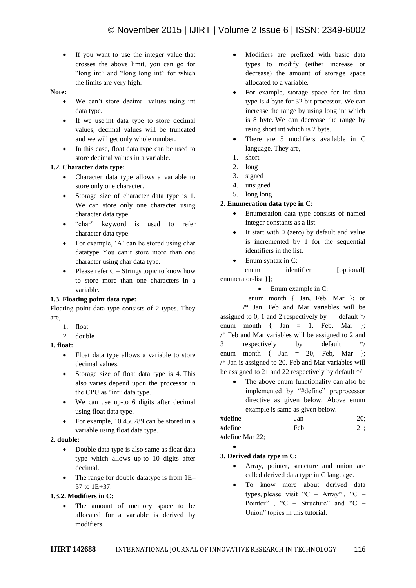If you want to use the integer value that crosses the above limit, you can go for "long int" and "long long int" for which the limits are very high.

### **Note:**

- We can't store decimal values using int data type.
- If we use int data type to store decimal values, decimal values will be truncated and we will get only whole number.
- In this case, float data type can be used to store decimal values in a variable.

# **1.2. Character data type:**

- Character data type allows a variable to store only one character.
- Storage size of character data type is 1. We can store only one character using character data type.
- "char" keyword is used to refer character data type.
- For example, 'A' can be stored using char datatype. You can't store more than one character using char data type.
- Please refer  $C -$  Strings topic to know how to store more than one characters in a variable.

# **1.3. Floating point data type:**

Floating point data type consists of 2 types. They are,

- 1. float
- 2. double

# **1. float:**

- Float data type allows a variable to store decimal values.
- Storage size of float data type is 4. This also varies depend upon the processor in the CPU as "int" data type.
- We can use up-to 6 digits after decimal using float data type.
- For example, 10.456789 can be stored in a variable using float data type.

# **2. double:**

- Double data type is also same as float data type which allows up-to 10 digits after decimal.
- The range for double datatype is from 1E-37 to 1E+37.

# **1.3.2. Modifiers in C:**

 The amount of memory space to be allocated for a variable is derived by modifiers.

- Modifiers are prefixed with basic data types to modify (either increase or decrease) the amount of storage space allocated to a variable.
- For example, storage space for int data type is 4 byte for 32 bit processor. We can increase the range by using long int which is 8 byte. We can decrease the range by using short int which is 2 byte.
- There are 5 modifiers available in C language. They are,
- 1. short
- 2. long
- 3. signed
- 4. unsigned
- 5. long long

# **2. Enumeration data type in C:**

- Enumeration data type consists of named integer constants as a list.
- It start with 0 (zero) by default and value is incremented by 1 for the sequential identifiers in the list.
- Enum syntax in C:

enum identifier [optional] enumerator-list }];

- Enum example in C:
- enum month { Jan, Feb, Mar }; or

 /\* Jan, Feb and Mar variables will be assigned to 0, 1 and 2 respectively by default  $*/$ enum month {  $Jan = 1$ , Feb, Mar }; /\* Feb and Mar variables will be assigned to 2 and 3 respectively by default \*/ enum month { Jan = 20, Feb, Mar }; /\* Jan is assigned to 20. Feb and Mar variables will be assigned to 21 and 22 respectively by default \*/

 The above enum functionality can also be implemented by "#define" preprocessor directive as given below. Above enum example is same as given below.

| #define         | Jan | 20: |
|-----------------|-----|-----|
| #define         | Feb | 21: |
| #define Mar 22; |     |     |

# $\bullet$

# **3. Derived data type in C:**

- Array, pointer, structure and union are called derived data type in C language.
- To know more about derived data types, please visit "C – Array" , "C – Pointer", "C – Structure" and "C – Union" topics in this tutorial.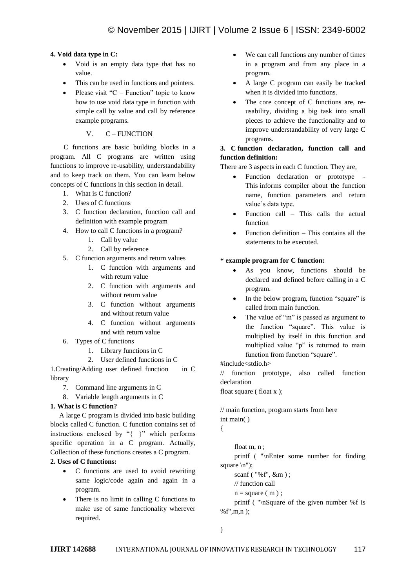# **4. Void data type in C:**

- Void is an empty data type that has no value.
- This can be used in functions and pointers.
- Please visit " $C$  Function" topic to know how to use void data type in function with simple call by value and call by reference example programs.

# V. C – FUNCTION

C functions are basic building blocks in a program. All C programs are written using functions to improve re-usability, understandability and to keep track on them. You can learn below concepts of C functions in this section in detail.

- 1. What is C function?
- 2. Uses of C functions
- 3. C function declaration, function call and definition with example program
- 4. How to call C functions in a program?
	- 1. Call by value
	- 2. Call by reference
- 5. C function arguments and return values
	- 1. C function with arguments and with return value
	- 2. C function with arguments and without return value
	- 3. C function without arguments and without return value
	- 4. C function without arguments and with return value
- 6. Types of C functions
	- 1. Library functions in C
	- 2. User defined functions in C

1.Creating/Adding user defined function in C library

- 7. Command line arguments in C
- 8. Variable length arguments in C

# **1. What is C function?**

A large C program is divided into basic building blocks called C function. C function contains set of instructions enclosed by "{ }" which performs specific operation in a C program. Actually, Collection of these functions creates a C program.

# **2. Uses of C functions:**

- C functions are used to avoid rewriting same logic/code again and again in a program.
- There is no limit in calling C functions to make use of same functionality wherever required.
- We can call functions any number of times in a program and from any place in a program.
- A large C program can easily be tracked when it is divided into functions.
- The core concept of C functions are, reusability, dividing a big task into small pieces to achieve the functionality and to improve understandability of very large C programs.

### **3. C function declaration, function call and function definition:**

There are 3 aspects in each C function. They are,

- Function declaration or prototype This informs compiler about the function name, function parameters and return value's data type.
- Function call This calls the actual function
- Function definition This contains all the statements to be executed.

### **\* example program for C function:**

- As you know, functions should be declared and defined before calling in a C program.
- In the below program, function "square" is called from main function.
- The value of "m" is passed as argument to the function "square". This value is multiplied by itself in this function and multiplied value "p" is returned to main function from function "square".

# #include<stdio.h>

// function prototype, also called function declaration

float square ( float x );

// main function, program starts from here int main( )

{

# float m, n ;

 printf ( "\nEnter some number for finding square  $\langle n'' \rangle$ ;

scanf ( "%f", &m ) ;

// function call

 $n = square(m)$ ;

 printf ( "\nSquare of the given number %f is %f", m, n);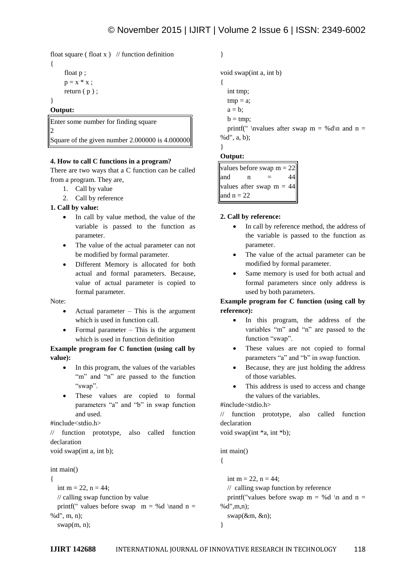float square (float x )  $\frac{1}{2}$  function definition {

```
 float p ;
p = x * x;
return (p);
```
#### } **Output:**

Enter some number for finding square 2 Square of the given number 2.000000 is 4.000000

### **4. How to call C functions in a program?**

There are two ways that a C function can be called from a program. They are,

- 1. Call by value
- 2. Call by reference

### **1. Call by value:**

- In call by value method, the value of the variable is passed to the function as parameter.
- The value of the actual parameter can not be modified by formal parameter.
- Different Memory is allocated for both actual and formal parameters. Because, value of actual parameter is copied to formal parameter.

Note:

- Actual parameter  $-$  This is the argument which is used in function call.
- Formal parameter This is the argument which is used in function definition

**Example program for C function (using call by value):**

- In this program, the values of the variables "m" and "n" are passed to the function "swap".
- These values are copied to formal parameters "a" and "b" in swap function and used.

#include<stdio.h>

// function prototype, also called function declaration

void swap(int a, int b);

```
int main()
```

```
{
```
int m = 22,  $n = 44$ ;

// calling swap function by value

```
printf(" values before swap m = \%d \quad n =
```
%d", m, n);  $swap(m, n)$ ; }

{

void swap(int a, int b)

```
 int tmp;
  tmp = a;a = b;
  b = \text{tmp};printf(" \nvalues after swap m = %d\n and n =%d", a, b);
```
# **Output:**

}

| values before swap $m = 22$ |   |     |    |  |
|-----------------------------|---|-----|----|--|
| and                         | n | $=$ | 44 |  |
| values after swap $m = 44$  |   |     |    |  |
| and $n = 22$                |   |     |    |  |

### **2. Call by reference:**

- In call by reference method, the address of the variable is passed to the function as parameter.
- The value of the actual parameter can be modified by formal parameter.
- Same memory is used for both actual and formal parameters since only address is used by both parameters.

# **Example program for C function (using call by reference):**

- In this program, the address of the variables "m" and "n" are passed to the function "swap".
- These values are not copied to formal parameters "a" and "b" in swap function.
- Because, they are just holding the address of those variables.
- This address is used to access and change the values of the variables.

#### #include<stdio.h>

// function prototype, also called function declaration

void swap(int \*a, int \*b);

int main()

{

int m = 22,  $n = 44$ ;

// calling swap function by reference

printf("values before swap  $m = \%d \nvert n =$ %d",m,n);

```
swap(\&m, \&n);
```
}